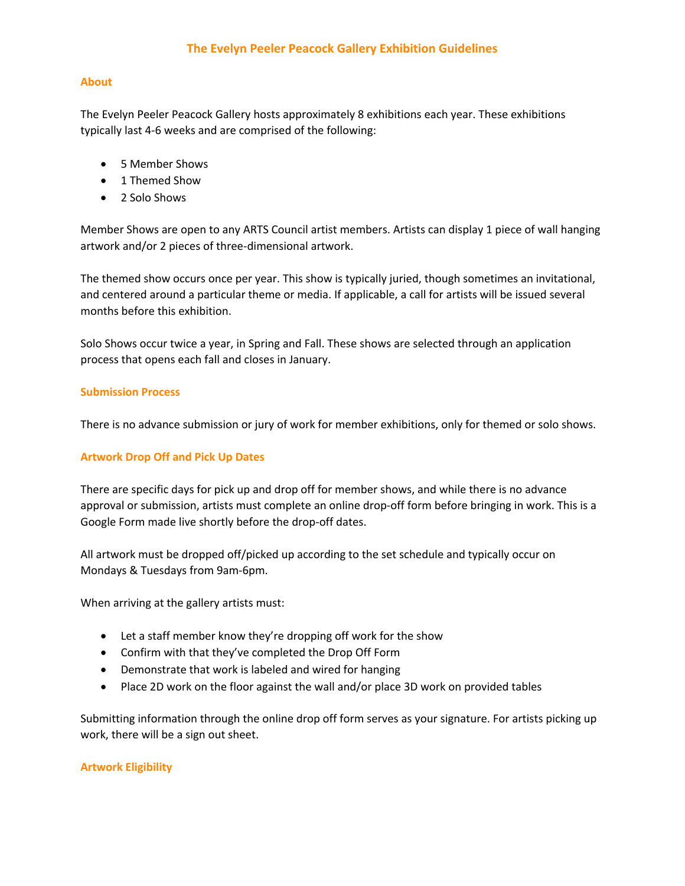# **The Evelyn Peeler Peacock Gallery Exhibition Guidelines**

### **About**

The Evelyn Peeler Peacock Gallery hosts approximately 8 exhibitions each year. These exhibitions typically last 4-6 weeks and are comprised of the following:

- 5 Member Shows
- 1 Themed Show
- 2 Solo Shows

Member Shows are open to any ARTS Council artist members. Artists can display 1 piece of wall hanging artwork and/or 2 pieces of three-dimensional artwork.

The themed show occurs once per year. This show is typically juried, though sometimes an invitational, and centered around a particular theme or media. If applicable, a call for artists will be issued several months before this exhibition.

Solo Shows occur twice a year, in Spring and Fall. These shows are selected through an application process that opens each fall and closes in January.

#### **Submission Process**

There is no advance submission or jury of work for member exhibitions, only for themed or solo shows.

# **Artwork Drop Off and Pick Up Dates**

There are specific days for pick up and drop off for member shows, and while there is no advance approval or submission, artists must complete an online drop-off form before bringing in work. This is a Google Form made live shortly before the drop-off dates.

All artwork must be dropped off/picked up according to the set schedule and typically occur on Mondays & Tuesdays from 9am-6pm.

When arriving at the gallery artists must:

- Let a staff member know they're dropping off work for the show
- Confirm with that they've completed the Drop Off Form
- Demonstrate that work is labeled and wired for hanging
- Place 2D work on the floor against the wall and/or place 3D work on provided tables

Submitting information through the online drop off form serves as your signature. For artists picking up work, there will be a sign out sheet.

# **Artwork Eligibility**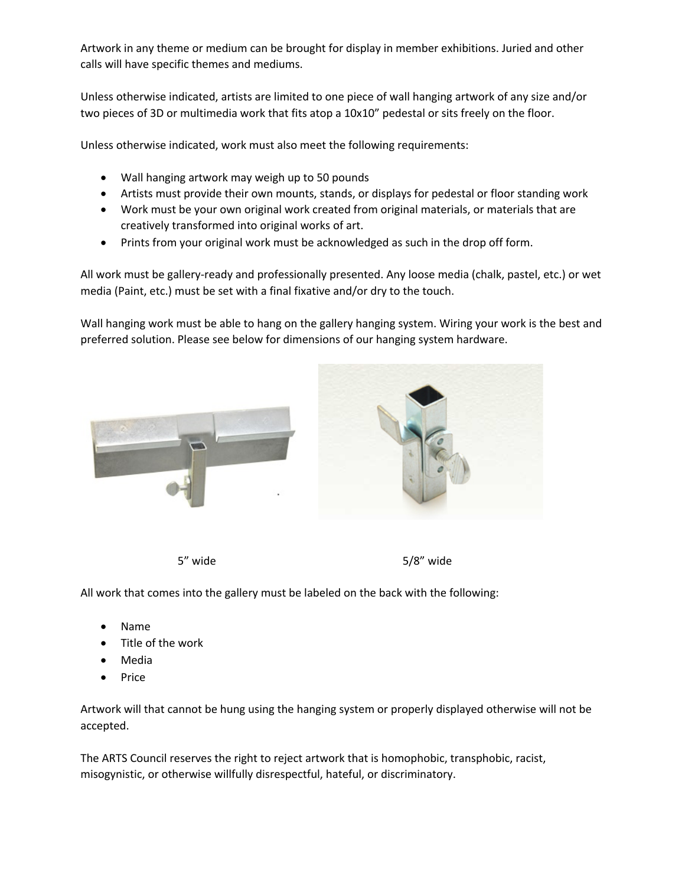Artwork in any theme or medium can be brought for display in member exhibitions. Juried and other calls will have specific themes and mediums.

Unless otherwise indicated, artists are limited to one piece of wall hanging artwork of any size and/or two pieces of 3D or multimedia work that fits atop a 10x10" pedestal or sits freely on the floor.

Unless otherwise indicated, work must also meet the following requirements:

- Wall hanging artwork may weigh up to 50 pounds
- Artists must provide their own mounts, stands, or displays for pedestal or floor standing work
- Work must be your own original work created from original materials, or materials that are creatively transformed into original works of art.
- Prints from your original work must be acknowledged as such in the drop off form.

All work must be gallery-ready and professionally presented. Any loose media (chalk, pastel, etc.) or wet media (Paint, etc.) must be set with a final fixative and/or dry to the touch.

Wall hanging work must be able to hang on the gallery hanging system. Wiring your work is the best and preferred solution. Please see below for dimensions of our hanging system hardware.



5" wide 5/8" wide

All work that comes into the gallery must be labeled on the back with the following:

- Name
- Title of the work
- Media
- **Price**

Artwork will that cannot be hung using the hanging system or properly displayed otherwise will not be accepted.

The ARTS Council reserves the right to reject artwork that is homophobic, transphobic, racist, misogynistic, or otherwise willfully disrespectful, hateful, or discriminatory.